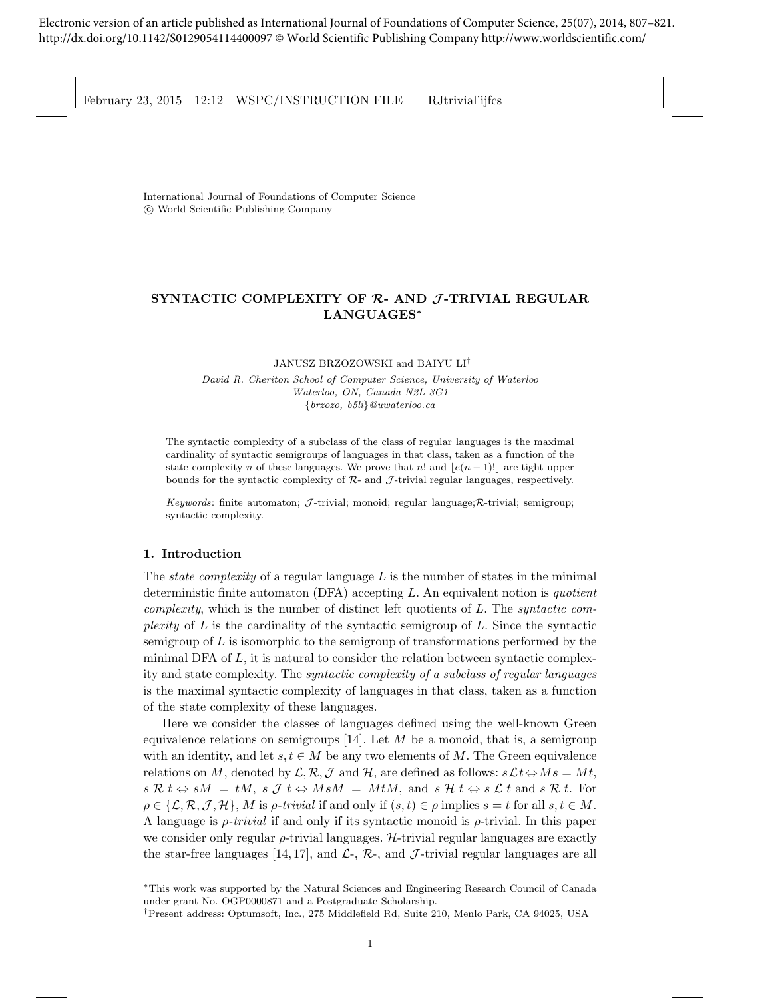Electronic version of an article published as International Journal of Foundations of Computer Science, 25(07), 2014, 807–821. <http://dx.doi.org/10.1142/S0129054114400097> © World Scientific Publishing Company<http://www.worldscientific.com/>

February 23, 2015 12:12 WSPC/INSTRUCTION FILE RJtrivial ijfcs

International Journal of Foundations of Computer Science c World Scientific Publishing Company

# SYNTACTIC COMPLEXITY OF  $R$ - AND  $J$ -TRIVIAL REGULAR LANGUAGES<sup>∗</sup>

JANUSZ BRZOZOWSKI and BAIYU LI†

David R. Cheriton School of Computer Science, University of Waterloo Waterloo, ON, Canada N2L 3G1 {brzozo, b5li}@uwaterloo.ca

The syntactic complexity of a subclass of the class of regular languages is the maximal cardinality of syntactic semigroups of languages in that class, taken as a function of the state complexity n of these languages. We prove that n! and  $|e(n-1)!|$  are tight upper bounds for the syntactic complexity of  $\mathcal{R}_-$  and  $\mathcal{J}_-$ trivial regular languages, respectively.

Keywords: finite automaton;  $\mathcal{J}$ -trivial; monoid; regular language;  $\mathcal{R}$ -trivial; semigroup; syntactic complexity.

## 1. Introduction

The *state complexity* of a regular language  $L$  is the number of states in the minimal deterministic finite automaton (DFA) accepting  $L$ . An equivalent notion is quotient complexity, which is the number of distinct left quotients of  $L$ . The syntactic complexity of  $L$  is the cardinality of the syntactic semigroup of  $L$ . Since the syntactic semigroup of  $L$  is isomorphic to the semigroup of transformations performed by the minimal DFA of  $L$ , it is natural to consider the relation between syntactic complexity and state complexity. The syntactic complexity of a subclass of regular languages is the maximal syntactic complexity of languages in that class, taken as a function of the state complexity of these languages.

Here we consider the classes of languages defined using the well-known Green equivalence relations on semigroups  $[14]$ . Let M be a monoid, that is, a semigroup with an identity, and let  $s, t \in M$  be any two elements of M. The Green equivalence relations on M, denoted by  $\mathcal{L}, \mathcal{R}, \mathcal{J}$  and  $\mathcal{H}$ , are defined as follows:  $s\mathcal{L}t \Leftrightarrow Ms = Mt$ ,  $s \mathcal{R} t \Leftrightarrow sM = tM$ ,  $s \mathcal{J} t \Leftrightarrow M sM = MtM$ , and  $s \mathcal{H} t \Leftrightarrow s \mathcal{L} t$  and  $s \mathcal{R} t$ . For  $\rho \in \{\mathcal{L}, \mathcal{R}, \mathcal{J}, \mathcal{H}\}, M$  is *ρ-trivial* if and only if  $(s, t) \in \rho$  implies  $s = t$  for all  $s, t \in M$ . A language is  $\rho$ -trivial if and only if its syntactic monoid is  $\rho$ -trivial. In this paper we consider only regular  $\rho$ -trivial languages. H-trivial regular languages are exactly the star-free languages [14, 17], and  $\mathcal{L}$ -,  $\mathcal{R}$ -, and  $\mathcal{J}$ -trivial regular languages are all

<sup>∗</sup>This work was supported by the Natural Sciences and Engineering Research Council of Canada under grant No. OGP0000871 and a Postgraduate Scholarship.

<sup>†</sup>Present address: Optumsoft, Inc., 275 Middlefield Rd, Suite 210, Menlo Park, CA 94025, USA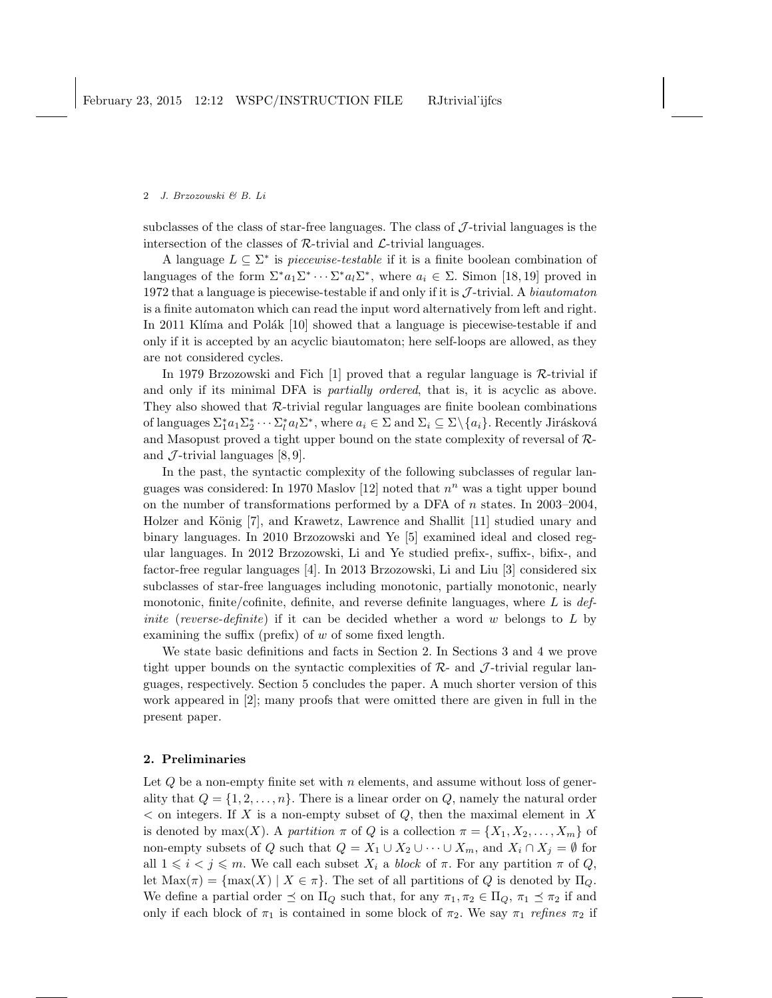subclasses of the class of star-free languages. The class of  $J$ -trivial languages is the intersection of the classes of  $\mathcal{R}\text{-trivial}$  and  $\mathcal{L}\text{-trivial}$  languages.

A language  $L \subseteq \Sigma^*$  is *piecewise-testable* if it is a finite boolean combination of languages of the form  $\Sigma^* a_1 \Sigma^* \cdots \Sigma^* a_l \Sigma^*$ , where  $a_i \in \Sigma$ . Simon [18, 19] proved in 1972 that a language is piecewise-testable if and only if it is  $J$ -trivial. A biautomaton is a finite automaton which can read the input word alternatively from left and right. In 2011 Klíma and Polák [10] showed that a language is piecewise-testable if and only if it is accepted by an acyclic biautomaton; here self-loops are allowed, as they are not considered cycles.

In 1979 Brzozowski and Fich [1] proved that a regular language is R-trivial if and only if its minimal DFA is partially ordered, that is, it is acyclic as above. They also showed that R-trivial regular languages are finite boolean combinations of languages  $\Sigma_1^* a_1 \Sigma_2^* \cdots \Sigma_l^* a_l \Sigma^*$ , where  $a_i \in \Sigma$  and  $\Sigma_i \subseteq \Sigma \setminus \{a_i\}$ . Recently Jirásková and Masopust proved a tight upper bound on the state complexity of reversal of Rand  $\mathcal{J}$ -trivial languages [8,9].

In the past, the syntactic complexity of the following subclasses of regular languages was considered: In 1970 Maslov [12] noted that  $n^n$  was a tight upper bound on the number of transformations performed by a DFA of n states. In 2003–2004, Holzer and König [7], and Krawetz, Lawrence and Shallit [11] studied unary and binary languages. In 2010 Brzozowski and Ye [5] examined ideal and closed regular languages. In 2012 Brzozowski, Li and Ye studied prefix-, suffix-, bifix-, and factor-free regular languages [4]. In 2013 Brzozowski, Li and Liu [3] considered six subclasses of star-free languages including monotonic, partially monotonic, nearly monotonic, finite/cofinite, definite, and reverse definite languages, where  $L$  is  $def$ *inite* (reverse-definite) if it can be decided whether a word w belongs to  $L$  by examining the suffix (prefix) of  $w$  of some fixed length.

We state basic definitions and facts in Section 2. In Sections 3 and 4 we prove tight upper bounds on the syntactic complexities of  $\mathcal{R}_-$  and  $\mathcal{J}_-$ -trivial regular languages, respectively. Section 5 concludes the paper. A much shorter version of this work appeared in [2]; many proofs that were omitted there are given in full in the present paper.

#### 2. Preliminaries

Let  $Q$  be a non-empty finite set with  $n$  elements, and assume without loss of generality that  $Q = \{1, 2, ..., n\}$ . There is a linear order on Q, namely the natural order  $\leq$  on integers. If X is a non-empty subset of Q, then the maximal element in X is denoted by max(X). A partition  $\pi$  of Q is a collection  $\pi = \{X_1, X_2, \ldots, X_m\}$  of non-empty subsets of Q such that  $Q = X_1 \cup X_2 \cup \cdots \cup X_m$ , and  $X_i \cap X_j = \emptyset$  for all  $1 \leq i \leq j \leq m$ . We call each subset  $X_i$  a block of  $\pi$ . For any partition  $\pi$  of Q, let  $\text{Max}(\pi) = \{\text{max}(X) \mid X \in \pi\}.$  The set of all partitions of Q is denoted by  $\Pi_Q$ . We define a partial order  $\leq$  on  $\Pi_Q$  such that, for any  $\pi_1, \pi_2 \in \Pi_Q$ ,  $\pi_1 \preceq \pi_2$  if and only if each block of  $\pi_1$  is contained in some block of  $\pi_2$ . We say  $\pi_1$  refines  $\pi_2$  if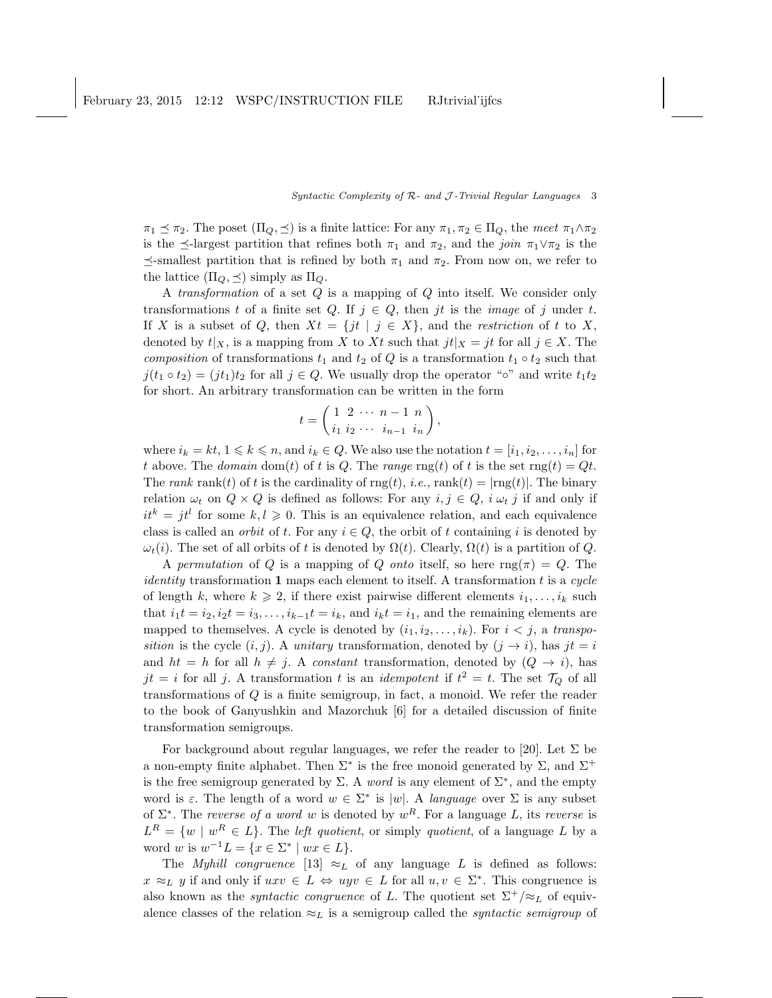$\pi_1 \preceq \pi_2$ . The poset  $(\Pi_Q, \preceq)$  is a finite lattice: For any  $\pi_1, \pi_2 \in \Pi_Q$ , the meet  $\pi_1 \wedge \pi_2$ is the  $\preceq$ -largest partition that refines both  $\pi_1$  and  $\pi_2$ , and the *join*  $\pi_1 \vee \pi_2$  is the  $\preceq$ -smallest partition that is refined by both  $\pi_1$  and  $\pi_2$ . From now on, we refer to the lattice  $(\Pi_Q, \preceq)$  simply as  $\Pi_Q$ .

A transformation of a set Q is a mapping of Q into itself. We consider only transformations t of a finite set Q. If  $j \in Q$ , then jt is the *image* of j under t. If X is a subset of Q, then  $Xt = \{jt | j \in X\}$ , and the *restriction* of t to X, denoted by  $t|_X$ , is a mapping from X to Xt such that  $jt|_X = jt$  for all  $j \in X$ . The composition of transformations  $t_1$  and  $t_2$  of Q is a transformation  $t_1 \circ t_2$  such that  $j(t_1 \circ t_2) = (jt_1)t_2$  for all  $j \in Q$ . We usually drop the operator "∘" and write  $t_1t_2$ for short. An arbitrary transformation can be written in the form

$$
t = \begin{pmatrix} 1 & 2 & \cdots & n-1 & n \\ i_1 & i_2 & \cdots & i_{n-1} & i_n \end{pmatrix},
$$

where  $i_k = kt, 1 \leq k \leq n$ , and  $i_k \in Q$ . We also use the notation  $t = [i_1, i_2, \ldots, i_n]$  for t above. The domain dom(t) of t is Q. The range rng(t) of t is the set rng(t) = Qt. The rank rank(t) of t is the cardinality of  $\text{rng}(t)$ , i.e.,  $\text{rank}(t) = |\text{rng}(t)|$ . The binary relation  $\omega_t$  on  $Q \times Q$  is defined as follows: For any  $i, j \in Q$ ,  $i, \omega_t j$  if and only if  $it^k = jt^l$  for some  $k, l \geqslant 0$ . This is an equivalence relation, and each equivalence class is called an *orbit* of t. For any  $i \in Q$ , the orbit of t containing i is denoted by  $\omega_t(i)$ . The set of all orbits of t is denoted by  $\Omega(t)$ . Clearly,  $\Omega(t)$  is a partition of Q.

A permutation of Q is a mapping of Q onto itself, so here  $\text{rng}(\pi) = Q$ . The *identity* transformation 1 maps each element to itself. A transformation  $t$  is a cycle of length k, where  $k \geq 2$ , if there exist pairwise different elements  $i_1, \ldots, i_k$  such that  $i_1t = i_2, i_2t = i_3, \ldots, i_{k-1}t = i_k$ , and  $i_kt = i_1$ , and the remaining elements are mapped to themselves. A cycle is denoted by  $(i_1, i_2, \ldots, i_k)$ . For  $i < j$ , a transposition is the cycle  $(i, j)$ . A unitary transformation, denoted by  $(j \rightarrow i)$ , has  $jt = i$ and  $ht = h$  for all  $h \neq j$ . A constant transformation, denoted by  $(Q \rightarrow i)$ , has  $jt = i$  for all j. A transformation t is an *idempotent* if  $t^2 = t$ . The set  $\mathcal{T}_Q$  of all transformations of  $Q$  is a finite semigroup, in fact, a monoid. We refer the reader to the book of Ganyushkin and Mazorchuk [6] for a detailed discussion of finite transformation semigroups.

For background about regular languages, we refer the reader to [20]. Let  $\Sigma$  be a non-empty finite alphabet. Then  $\Sigma^*$  is the free monoid generated by  $\Sigma$ , and  $\Sigma^+$ is the free semigroup generated by  $\Sigma$ . A *word* is any element of  $\Sigma^*$ , and the empty word is  $\varepsilon$ . The length of a word  $w \in \Sigma^*$  is |w|. A language over  $\Sigma$  is any subset of  $\Sigma^*$ . The reverse of a word w is denoted by  $w^R$ . For a language L, its reverse is  $L^R = \{w \mid w^R \in L\}.$  The *left quotient*, or simply *quotient*, of a language L by a word w is  $w^{-1}L = \{x \in \Sigma^* \mid wx \in L\}.$ 

The *Myhill congruence* [13]  $\approx_L$  of any language L is defined as follows:  $x \approx_L y$  if and only if  $uxv \in L \Leftrightarrow uyv \in L$  for all  $u, v \in \Sigma^*$ . This congruence is also known as the *syntactic congruence* of L. The quotient set  $\Sigma^+/\approx_L$  of equivalence classes of the relation  $\approx_L$  is a semigroup called the *syntactic semigroup* of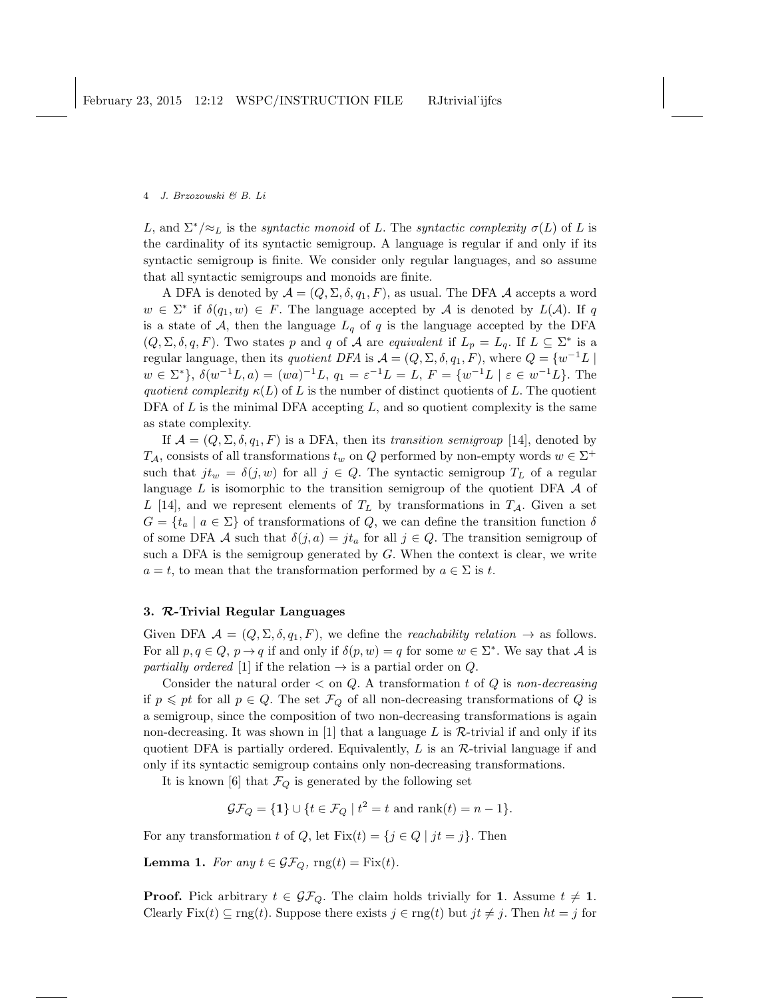L, and  $\Sigma^*/\approx_L$  is the *syntactic monoid* of L. The *syntactic complexity*  $\sigma(L)$  of L is the cardinality of its syntactic semigroup. A language is regular if and only if its syntactic semigroup is finite. We consider only regular languages, and so assume that all syntactic semigroups and monoids are finite.

A DFA is denoted by  $\mathcal{A} = (Q, \Sigma, \delta, q_1, F)$ , as usual. The DFA  $\mathcal A$  accepts a word  $w \in \Sigma^*$  if  $\delta(q_1, w) \in F$ . The language accepted by A is denoted by  $L(\mathcal{A})$ . If q is a state of A, then the language  $L_q$  of q is the language accepted by the DFA  $(Q, \Sigma, \delta, q, F)$ . Two states p and q of A are equivalent if  $L_p = L_q$ . If  $L \subseteq \Sigma^*$  is a regular language, then its *quotient DFA* is  $A = (Q, \Sigma, \delta, q_1, F)$ , where  $Q = \{w^{-1}L \mid$  $w \in \Sigma^*$ ,  $\delta(w^{-1}L, a) = (wa)^{-1}L, q_1 = \varepsilon^{-1}L = L, F = \{w^{-1}L \mid \varepsilon \in w^{-1}L\}.$  The quotient complexity  $\kappa(L)$  of L is the number of distinct quotients of L. The quotient DFA of  $L$  is the minimal DFA accepting  $L$ , and so quotient complexity is the same as state complexity.

If  $\mathcal{A} = (Q, \Sigma, \delta, q_1, F)$  is a DFA, then its transition semigroup [14], denoted by  $T_A$ , consists of all transformations  $t_w$  on Q performed by non-empty words  $w \in \Sigma^+$ such that  $jt_w = \delta(j, w)$  for all  $j \in Q$ . The syntactic semigroup  $T_L$  of a regular language  $L$  is isomorphic to the transition semigroup of the quotient DFA  $\mathcal A$  of L [14], and we represent elements of  $T_L$  by transformations in  $T_A$ . Given a set  $G = \{t_a \mid a \in \Sigma\}$  of transformations of Q, we can define the transition function  $\delta$ of some DFA A such that  $\delta(j, a) = j t_a$  for all  $j \in Q$ . The transition semigroup of such a DFA is the semigroup generated by  $G$ . When the context is clear, we write  $a = t$ , to mean that the transformation performed by  $a \in \Sigma$  is t.

## 3. R-Trivial Regular Languages

Given DFA  $\mathcal{A} = (Q, \Sigma, \delta, q_1, F)$ , we define the *reachability relation*  $\rightarrow$  as follows. For all  $p, q \in Q$ ,  $p \to q$  if and only if  $\delta(p, w) = q$  for some  $w \in \Sigma^*$ . We say that A is partially ordered [1] if the relation  $\rightarrow$  is a partial order on Q.

Consider the natural order  $\lt$  on Q. A transformation t of Q is non-decreasing if  $p \leqslant pt$  for all  $p \in Q$ . The set  $\mathcal{F}_Q$  of all non-decreasing transformations of Q is a semigroup, since the composition of two non-decreasing transformations is again non-decreasing. It was shown in [1] that a language L is  $\mathcal R$ -trivial if and only if its quotient DFA is partially ordered. Equivalently,  $L$  is an  $R$ -trivial language if and only if its syntactic semigroup contains only non-decreasing transformations.

It is known [6] that  $\mathcal{F}_Q$  is generated by the following set

$$
\mathcal{GF}_Q = \{1\} \cup \{t \in \mathcal{F}_Q \mid t^2 = t \text{ and } \text{rank}(t) = n - 1\}.
$$

For any transformation t of Q, let  $Fix(t) = \{j \in Q \mid jt = j\}$ . Then

**Lemma 1.** For any  $t \in \mathcal{GF}_Q$ ,  $\text{rng}(t) = \text{Fix}(t)$ .

**Proof.** Pick arbitrary  $t \in \mathcal{GF}_Q$ . The claim holds trivially for 1. Assume  $t \neq 1$ . Clearly Fix(t)  $\subseteq$  rng(t). Suppose there exists  $j \in \text{rng}(t)$  but  $jt \neq j$ . Then  $ht = j$  for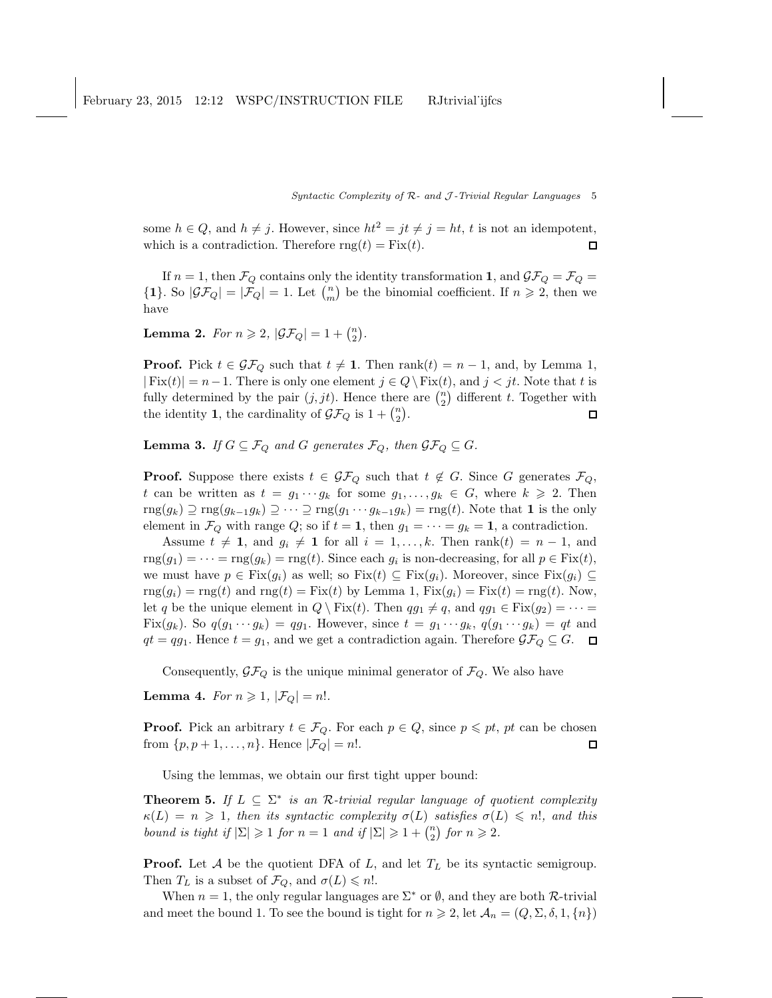some  $h \in Q$ , and  $h \neq j$ . However, since  $ht^2 = jt \neq j = ht$ , t is not an idempotent, which is a contradiction. Therefore  $\text{rng}(t) = \text{Fix}(t)$ .  $\Box$ 

If  $n = 1$ , then  $\mathcal{F}_Q$  contains only the identity transformation 1, and  $\mathcal{GF}_Q = \mathcal{F}_Q =$  ${1}$ . So  $|\mathcal{GF}_Q| = |\mathcal{F}_Q| = 1$ . Let  $\binom{n}{m}$  be the binomial coefficient. If  $n \geq 2$ , then we have

**Lemma 2.** For  $n \ge 2$ ,  $|\mathcal{GF}_Q| = 1 + {n \choose 2}$ .

**Proof.** Pick  $t \in \mathcal{GF}_Q$  such that  $t \neq 1$ . Then rank $(t) = n - 1$ , and, by Lemma 1,  $|\text{Fix}(t)| = n-1.$  There is only one element  $j \in Q \backslash \text{Fix}(t)$ , and  $j < jt$ . Note that t is fully determined by the pair  $(j, jt)$ . Hence there are  $\binom{n}{2}$  different t. Together with the identity **1**, the cardinality of  $\mathcal{GF}_Q$  is  $1 + \binom{n}{2}$ .  $\Box$ 

**Lemma 3.** If  $G \subseteq \mathcal{F}_Q$  and G generates  $\mathcal{F}_Q$ , then  $\mathcal{GF}_Q \subseteq G$ .

**Proof.** Suppose there exists  $t \in \mathcal{GF}_Q$  such that  $t \notin G$ . Since G generates  $\mathcal{F}_Q$ , t can be written as  $t = g_1 \cdots g_k$  for some  $g_1, \ldots, g_k \in G$ , where  $k \geq 2$ . Then  $\text{rng}(g_k) \supseteq \text{rng}(g_{k-1}g_k) \supseteq \cdots \supseteq \text{rng}(g_1 \cdots g_{k-1}g_k) = \text{rng}(t)$ . Note that **1** is the only element in  $\mathcal{F}_Q$  with range  $Q$ ; so if  $t = 1$ , then  $g_1 = \cdots = g_k = 1$ , a contradiction.

Assume  $t \neq 1$ , and  $g_i \neq 1$  for all  $i = 1, ..., k$ . Then rank $(t) = n - 1$ , and  $\text{rng}(g_1) = \cdots = \text{rng}(g_k) = \text{rng}(t)$ . Since each  $g_i$  is non-decreasing, for all  $p \in \text{Fix}(t)$ , we must have  $p \in Fix(g_i)$  as well; so  $Fix(t) \subseteq Fix(g_i)$ . Moreover, since  $Fix(g_i) \subseteq$  $\text{rng}(g_i) = \text{rng}(t)$  and  $\text{rng}(t) = \text{Fix}(t)$  by Lemma 1,  $\text{Fix}(g_i) = \text{Fix}(t) = \text{rng}(t)$ . Now, let q be the unique element in  $Q \setminus Fix(t)$ . Then  $qq_1 \neq q$ , and  $qq_1 \in Fix(q_2) = \cdots =$ Fix $(g_k)$ . So  $q(g_1 \cdots g_k) = qg_1$ . However, since  $t = g_1 \cdots g_k$ ,  $q(g_1 \cdots g_k) = qt$  and  $qt = qg_1$ . Hence  $t = g_1$ , and we get a contradiction again. Therefore  $\mathcal{GF}_Q \subseteq G$ .  $\Box$ 

Consequently,  $\mathcal{GF}_Q$  is the unique minimal generator of  $\mathcal{F}_Q$ . We also have

**Lemma 4.** For  $n \geq 1$ ,  $|\mathcal{F}_Q| = n!$ .

**Proof.** Pick an arbitrary  $t \in \mathcal{F}_Q$ . For each  $p \in Q$ , since  $p \leq pt$ , pt can be chosen from  $\{p, p+1, \ldots, n\}$ . Hence  $|\mathcal{F}_Q|=n!$ .  $\Box$ 

Using the lemmas, we obtain our first tight upper bound:

**Theorem 5.** If  $L \subseteq \Sigma^*$  is an R-trivial regular language of quotient complexity  $\kappa(L) = n \geq 1$ , then its syntactic complexity  $\sigma(L)$  satisfies  $\sigma(L) \leq n!$ , and this bound is tight if  $|\Sigma| \geq 1$  for  $n = 1$  and if  $|\Sigma| \geq 1 + {n \choose 2}$  for  $n \geq 2$ .

**Proof.** Let  $A$  be the quotient DFA of  $L$ , and let  $T<sub>L</sub>$  be its syntactic semigroup. Then  $T_L$  is a subset of  $\mathcal{F}_Q$ , and  $\sigma(L) \leq n!$ .

When  $n = 1$ , the only regular languages are  $\Sigma^*$  or  $\emptyset$ , and they are both  $\mathcal{R}$ -trivial and meet the bound 1. To see the bound is tight for  $n \geq 2$ , let  $\mathcal{A}_n = (Q, \Sigma, \delta, 1, \{n\})$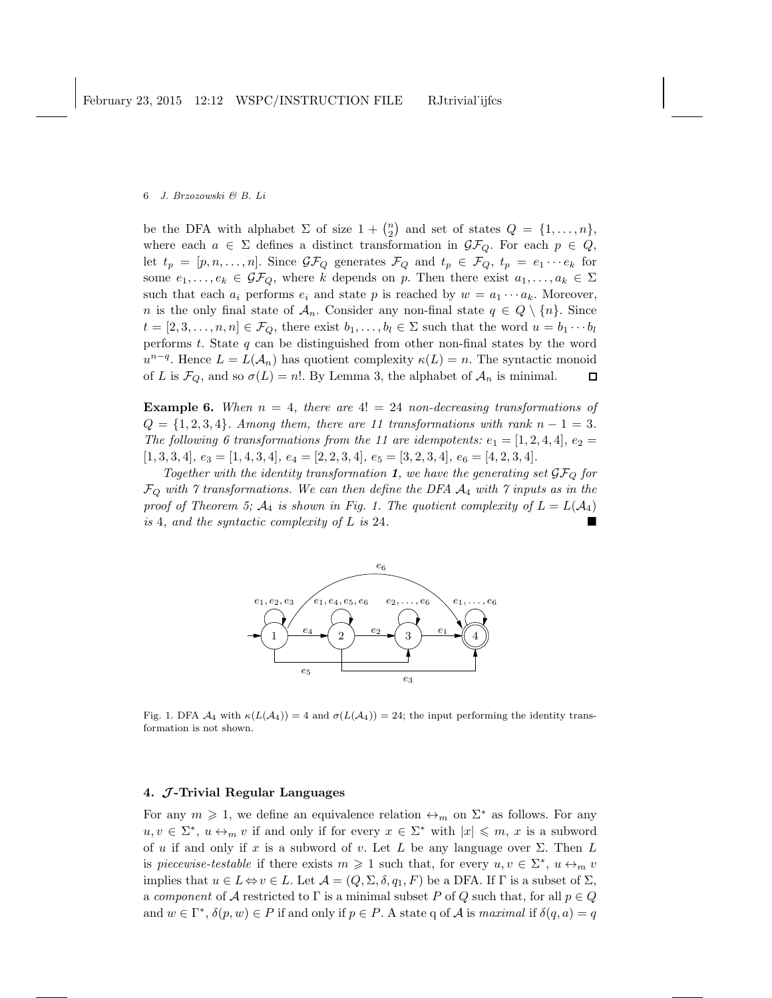be the DFA with alphabet  $\Sigma$  of size  $1 + {n \choose 2}$  and set of states  $Q = \{1, ..., n\}$ , where each  $a \in \Sigma$  defines a distinct transformation in  $\mathcal{GF}_Q$ . For each  $p \in Q$ , let  $t_p = [p, n, \ldots, n]$ . Since  $\mathcal{GF}_Q$  generates  $\mathcal{F}_Q$  and  $t_p \in \mathcal{F}_Q$ ,  $t_p = e_1 \cdots e_k$  for some  $e_1, \ldots, e_k \in \mathcal{GF}_Q$ , where k depends on p. Then there exist  $a_1, \ldots, a_k \in \Sigma$ such that each  $a_i$  performs  $e_i$  and state p is reached by  $w = a_1 \cdots a_k$ . Moreover, n is the only final state of  $A_n$ . Consider any non-final state  $q \in Q \setminus \{n\}$ . Since  $t = [2, 3, \ldots, n, n] \in \mathcal{F}_Q$ , there exist  $b_1, \ldots, b_l \in \Sigma$  such that the word  $u = b_1 \cdots b_l$ performs  $t$ . State  $q$  can be distinguished from other non-final states by the word  $u^{n-q}$ . Hence  $L = L(\mathcal{A}_n)$  has quotient complexity  $\kappa(L) = n$ . The syntactic monoid of L is  $\mathcal{F}_Q$ , and so  $\sigma(L) = n!$ . By Lemma 3, the alphabet of  $\mathcal{A}_n$  is minimal.  $\Box$ 

**Example 6.** When  $n = 4$ , there are  $4! = 24$  non-decreasing transformations of  $Q = \{1, 2, 3, 4\}$ . Among them, there are 11 transformations with rank  $n - 1 = 3$ . The following 6 transformations from the 11 are idempotents:  $e_1 = [1, 2, 4, 4], e_2 =$  $[1, 3, 3, 4], e_3 = [1, 4, 3, 4], e_4 = [2, 2, 3, 4], e_5 = [3, 2, 3, 4], e_6 = [4, 2, 3, 4].$ 

Together with the identity transformation 1, we have the generating set  $\mathcal{GF}_{Q}$  for  $\mathcal{F}_Q$  with  $\gamma$  transformations. We can then define the DFA  $\mathcal{A}_4$  with  $\gamma$  inputs as in the proof of Theorem 5;  $A_4$  is shown in Fig. 1. The quotient complexity of  $L = L(A_4)$ is 4, and the syntactic complexity of L is 24.



Fig. 1. DFA  $\mathcal{A}_4$  with  $\kappa(L(\mathcal{A}_4)) = 4$  and  $\sigma(L(\mathcal{A}_4)) = 24$ ; the input performing the identity transformation is not shown.

## 4.  $J$ -Trivial Regular Languages

For any  $m \geq 1$ , we define an equivalence relation  $\leftrightarrow_m$  on  $\Sigma^*$  as follows. For any  $u, v \in \Sigma^*, u \leftrightarrow_m v$  if and only if for every  $x \in \Sigma^*$  with  $|x| \leq m$ , x is a subword of u if and only if x is a subword of v. Let L be any language over  $\Sigma$ . Then L is piecewise-testable if there exists  $m \geq 1$  such that, for every  $u, v \in \Sigma^*$ ,  $u \leftrightarrow_m v$ implies that  $u \in L \Leftrightarrow v \in L$ . Let  $\mathcal{A} = (Q, \Sigma, \delta, q_1, F)$  be a DFA. If  $\Gamma$  is a subset of  $\Sigma$ , a component of A restricted to  $\Gamma$  is a minimal subset P of Q such that, for all  $p \in Q$ and  $w \in \Gamma^*$ ,  $\delta(p, w) \in P$  if and only if  $p \in P$ . A state q of A is maximal if  $\delta(q, a) = q$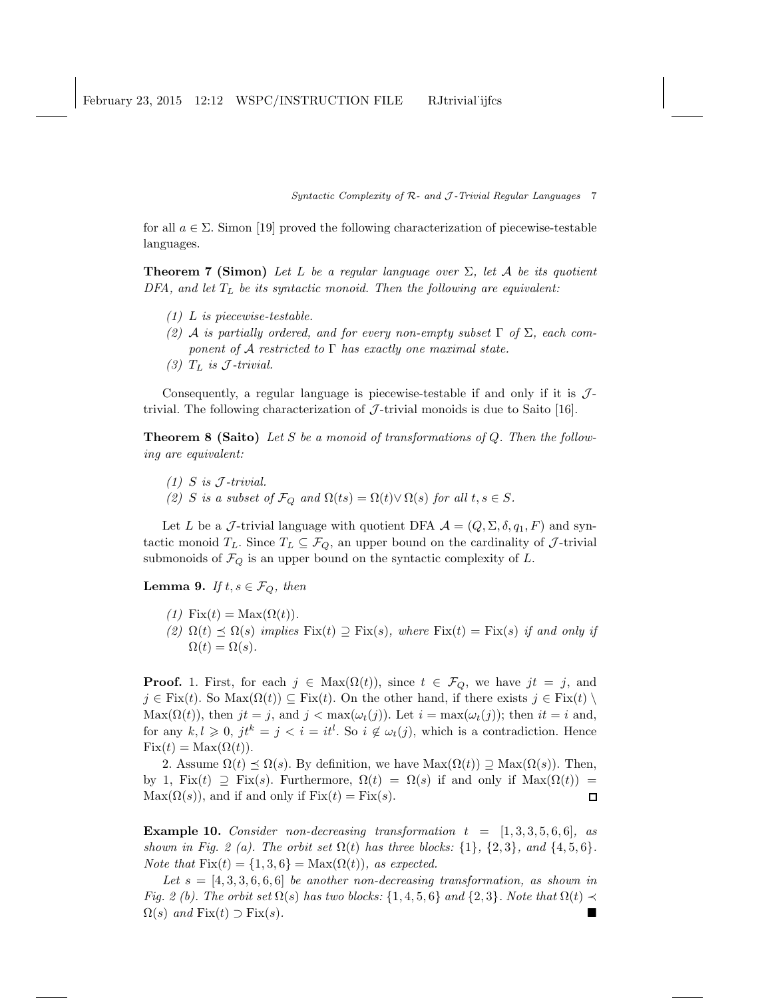for all  $a \in \Sigma$ . Simon [19] proved the following characterization of piecewise-testable languages.

**Theorem 7 (Simon)** Let L be a regular language over  $\Sigma$ , let A be its quotient DFA, and let  $T_L$  be its syntactic monoid. Then the following are equivalent:

- (1) L is piecewise-testable.
- (2) A is partially ordered, and for every non-empty subset  $\Gamma$  of  $\Sigma$ , each component of A restricted to  $\Gamma$  has exactly one maximal state.
- (3)  $T_L$  is  $J$ -trivial.

Consequently, a regular language is piecewise-testable if and only if it is  $\mathcal{J}$ trivial. The following characterization of  $\mathcal{J}$ -trivial monoids is due to Saito [16].

**Theorem 8 (Saito)** Let S be a monoid of transformations of  $Q$ . Then the following are equivalent:

- $(1)$  S is J-trivial.
- (2) S is a subset of  $\mathcal{F}_Q$  and  $\Omega(ts) = \Omega(t) \vee \Omega(s)$  for all  $t, s \in S$ .

Let L be a J-trivial language with quotient DFA  $\mathcal{A} = (Q, \Sigma, \delta, q_1, F)$  and syntactic monoid  $T_L$ . Since  $T_L \subseteq \mathcal{F}_Q$ , an upper bound on the cardinality of  $\mathcal{J}$ -trivial submonoids of  $\mathcal{F}_Q$  is an upper bound on the syntactic complexity of L.

**Lemma 9.** If  $t, s \in \mathcal{F}_Q$ , then

- (1) Fix(t) = Max( $\Omega(t)$ ).
- (2)  $\Omega(t) \preceq \Omega(s)$  implies  $Fix(t) \supseteq Fix(s)$ , where  $Fix(t) = Fix(s)$  if and only if  $\Omega(t) = \Omega(s).$

**Proof.** 1. First, for each  $j \in Max(\Omega(t))$ , since  $t \in \mathcal{F}_Q$ , we have  $jt = j$ , and  $j \in Fix(t)$ . So Max $(\Omega(t)) \subseteq Fix(t)$ . On the other hand, if there exists  $j \in Fix(t) \setminus$  $\text{Max}(\Omega(t))$ , then  $jt = j$ , and  $j < \max(\omega_t(j))$ . Let  $i = \max(\omega_t(j))$ ; then  $it = i$  and, for any  $k, l \geq 0$ ,  $jt^k = j < i = it^l$ . So  $i \notin \omega_t(j)$ , which is a contradiction. Hence  $Fix(t) = Max(\Omega(t)).$ 

2. Assume  $\Omega(t) \preceq \Omega(s)$ . By definition, we have  $\text{Max}(\Omega(t)) \supseteq \text{Max}(\Omega(s))$ . Then, by 1, Fix(t)  $\supseteq$  Fix(s). Furthermore,  $\Omega(t) = \Omega(s)$  if and only if  $\text{Max}(\Omega(t)) =$  $\text{Max}(\Omega(s))$ , and if and only if  $\text{Fix}(t) = \text{Fix}(s)$ .  $\Box$ 

**Example 10.** Consider non-decreasing transformation  $t = [1, 3, 3, 5, 6, 6]$ , as shown in Fig. 2 (a). The orbit set  $\Omega(t)$  has three blocks: {1}, {2,3}, and {4,5,6}. Note that  $Fix(t) = \{1, 3, 6\} = Max(\Omega(t)),$  as expected.

Let  $s = [4, 3, 3, 6, 6, 6]$  be another non-decreasing transformation, as shown in Fig. 2 (b). The orbit set  $\Omega(s)$  has two blocks: {1, 4, 5, 6} and {2, 3}. Note that  $\Omega(t) \prec$  $\Omega(s)$  and  $Fix(t) \supset Fix(s)$ .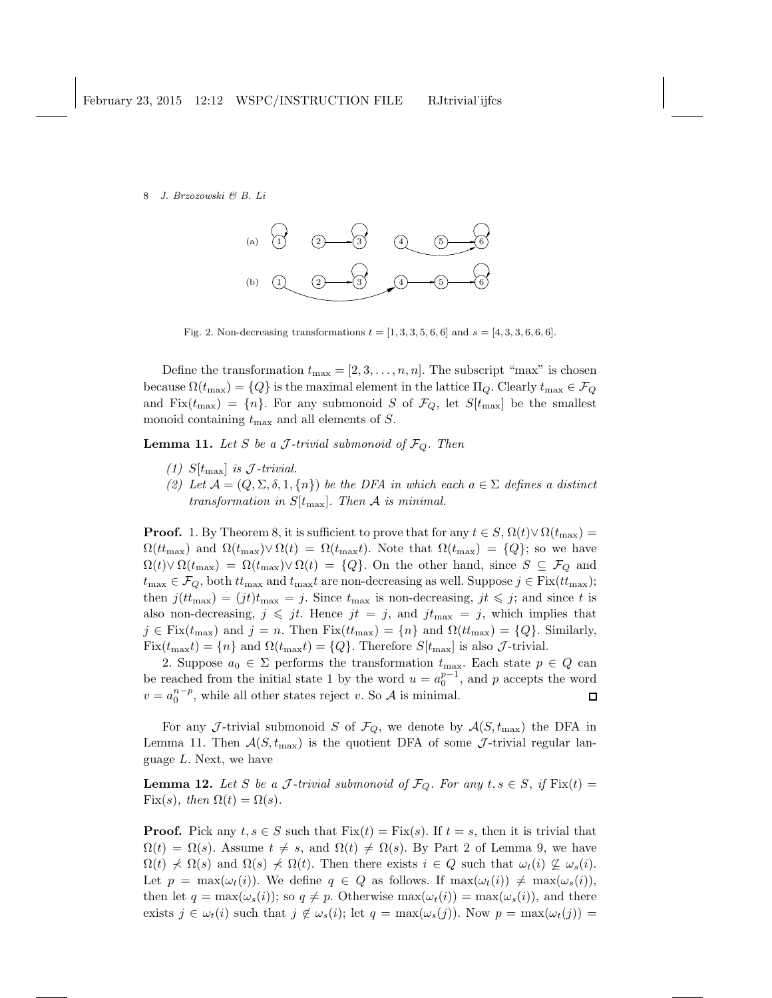

Fig. 2. Non-decreasing transformations  $t = [1, 3, 3, 5, 6, 6]$  and  $s = [4, 3, 3, 6, 6, 6]$ .

Define the transformation  $t_{\text{max}} = [2, 3, \ldots, n, n]$ . The subscript "max" is chosen because  $\Omega(t_{\text{max}}) = \{Q\}$  is the maximal element in the lattice  $\Pi_Q$ . Clearly  $t_{\text{max}} \in \mathcal{F}_Q$ and Fix $(t_{\text{max}}) = \{n\}$ . For any submonoid S of  $\mathcal{F}_Q$ , let  $S[t_{\text{max}}]$  be the smallest monoid containing  $t_{\text{max}}$  and all elements of S.

**Lemma 11.** Let S be a J-trivial submonoid of  $\mathcal{F}_Q$ . Then

- (1)  $S[t_{\text{max}}]$  is J-trivial.
- (2) Let  $\mathcal{A} = (Q, \Sigma, \delta, 1, \{n\})$  be the DFA in which each  $a \in \Sigma$  defines a distinct transformation in  $S[t_{\text{max}}]$ . Then A is minimal.

**Proof.** 1. By Theorem 8, it is sufficient to prove that for any  $t \in S$ ,  $\Omega(t) \vee \Omega(t_{\text{max}}) =$  $\Omega(t_{\text{max}})$  and  $\Omega(t_{\text{max}}) \vee \Omega(t) = \Omega(t_{\text{max}})$ . Note that  $\Omega(t_{\text{max}}) = \{Q\}$ ; so we have  $\Omega(t) \vee \Omega(t_{\text{max}}) = \Omega(t_{\text{max}}) \vee \Omega(t) = \{Q\}.$  On the other hand, since  $S \subseteq \mathcal{F}_Q$  and  $t_{\text{max}} \in \mathcal{F}_Q$ , both  $t_{\text{max}}$  and  $t_{\text{max}}t$  are non-decreasing as well. Suppose  $j \in \text{Fix}(t_t_{\text{max}});$ then  $j(t_{\text{max}}) = (jt)t_{\text{max}} = j$ . Since  $t_{\text{max}}$  is non-decreasing,  $jt \leq j$ ; and since t is also non-decreasing,  $j \leqslant jt$ . Hence  $jt = j$ , and  $jt_{\text{max}} = j$ , which implies that  $j \in \text{Fix}(t_{\text{max}})$  and  $j = n$ . Then  $\text{Fix}(t_{\text{max}}) = \{n\}$  and  $\Omega(t_{\text{max}}) = \{Q\}$ . Similarly,  $Fix(t_{\text{max}}t) = \{n\}$  and  $\Omega(t_{\text{max}}t) = \{Q\}$ . Therefore  $S[t_{\text{max}}]$  is also  $\mathcal{J}$ -trivial.

2. Suppose  $a_0 \in \Sigma$  performs the transformation  $t_{\text{max}}$ . Each state  $p \in Q$  can be reached from the initial state 1 by the word  $u = a_0^{p-1}$ , and p accepts the word  $v = a_0^{n-p}$ , while all other states reject v. So A is minimal.  $\Box$ 

For any J-trivial submonoid S of  $\mathcal{F}_Q$ , we denote by  $\mathcal{A}(S, t_{\text{max}})$  the DFA in Lemma 11. Then  $A(S, t_{\text{max}})$  is the quotient DFA of some J-trivial regular language L. Next, we have

**Lemma 12.** Let S be a J-trivial submonoid of  $\mathcal{F}_Q$ . For any  $t, s \in S$ , if  $\text{Fix}(t) =$ Fix(s), then  $\Omega(t) = \Omega(s)$ .

**Proof.** Pick any  $t, s \in S$  such that  $Fix(t) = Fix(s)$ . If  $t = s$ , then it is trivial that  $\Omega(t) = \Omega(s)$ . Assume  $t \neq s$ , and  $\Omega(t) \neq \Omega(s)$ . By Part 2 of Lemma 9, we have  $\Omega(t) \nless \Omega(s)$  and  $\Omega(s) \nless \Omega(t)$ . Then there exists  $i \in Q$  such that  $\omega_t(i) \nsubseteq \omega_s(i)$ . Let  $p = \max(\omega_t(i))$ . We define  $q \in Q$  as follows. If  $\max(\omega_t(i)) \neq \max(\omega_s(i)),$ then let  $q = \max(\omega_s(i));$  so  $q \neq p$ . Otherwise  $\max(\omega_t(i)) = \max(\omega_s(i)),$  and there exists  $j \in \omega_t(i)$  such that  $j \notin \omega_s(i)$ ; let  $q = \max(\omega_s(j))$ . Now  $p = \max(\omega_t(j))$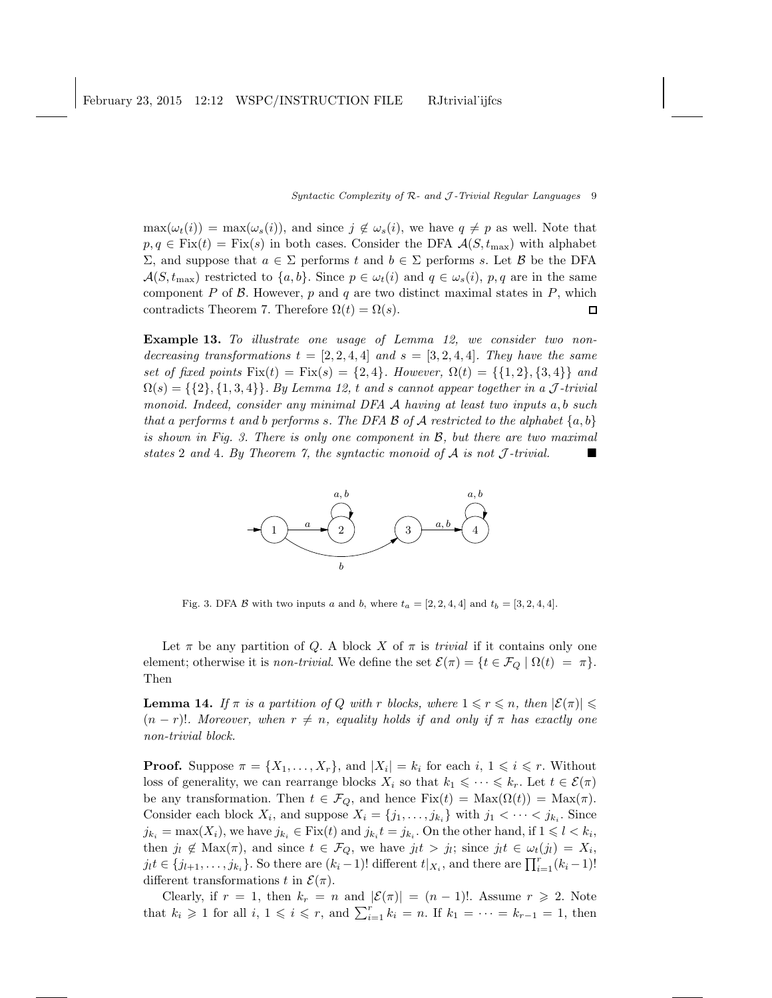$\max(\omega_t(i)) = \max(\omega_s(i))$ , and since  $j \notin \omega_s(i)$ , we have  $q \neq p$  as well. Note that  $p, q \in Fix(t) = Fix(s)$  in both cases. Consider the DFA  $\mathcal{A}(S, t_{\text{max}})$  with alphabet  $Σ$ , and suppose that  $a ∈ Σ$  performs t and  $b ∈ Σ$  performs s. Let B be the DFA  $\mathcal{A}(S, t_{\text{max}})$  restricted to  $\{a, b\}$ . Since  $p \in \omega_t(i)$  and  $q \in \omega_s(i)$ ,  $p, q$  are in the same component P of B. However, p and q are two distinct maximal states in P, which contradicts Theorem 7. Therefore  $\Omega(t) = \Omega(s)$ .  $\Box$ 

Example 13. To illustrate one usage of Lemma 12, we consider two nondecreasing transformations  $t = [2, 2, 4, 4]$  and  $s = [3, 2, 4, 4]$ . They have the same set of fixed points  $Fix(t) = Fix(s) = \{2, 4\}$ . However,  $\Omega(t) = \{\{1, 2\}, \{3, 4\}\}\$ and  $\Omega(s) = \{\{2\}, \{1, 3, 4\}\}\.$  By Lemma 12, t and s cannot appear together in a J-trivial monoid. Indeed, consider any minimal DFA  $\mathcal A$  having at least two inputs  $a, b$  such that a performs t and b performs s. The DFA B of A restricted to the alphabet  $\{a, b\}$ is shown in Fig. 3. There is only one component in  $\mathcal{B}$ , but there are two maximal states 2 and 4. By Theorem 7, the syntactic monoid of  $A$  is not  $J$ -trivial.



Fig. 3. DFA B with two inputs a and b, where  $t_a = [2, 2, 4, 4]$  and  $t_b = [3, 2, 4, 4]$ .

Let  $\pi$  be any partition of Q. A block X of  $\pi$  is *trivial* if it contains only one element; otherwise it is *non-trivial*. We define the set  $\mathcal{E}(\pi) = \{t \in \mathcal{F}_Q \mid \Omega(t) = \pi\}.$ Then

**Lemma 14.** If  $\pi$  is a partition of Q with r blocks, where  $1 \leq r \leq n$ , then  $|\mathcal{E}(\pi)| \leq$  $(n - r)!$ . Moreover, when  $r \neq n$ , equality holds if and only if  $\pi$  has exactly one non-trivial block.

**Proof.** Suppose  $\pi = \{X_1, \ldots, X_r\}$ , and  $|X_i| = k_i$  for each  $i, 1 \leq i \leq r$ . Without loss of generality, we can rearrange blocks  $X_i$  so that  $k_1 \leq \cdots \leq k_r$ . Let  $t \in \mathcal{E}(\pi)$ be any transformation. Then  $t \in \mathcal{F}_Q$ , and hence  $Fix(t) = Max(\Omega(t)) = Max(\pi)$ . Consider each block  $X_i$ , and suppose  $X_i = \{j_1, \ldots, j_{k_i}\}\$  with  $j_1 < \cdots < j_{k_i}$ . Since  $j_{k_i} = \max(X_i)$ , we have  $j_{k_i} \in \text{Fix}(t)$  and  $j_{k_i} t = j_{k_i}$ . On the other hand, if  $1 \leqslant l \leqslant k_i$ , then  $j_l \notin \text{Max}(\pi)$ , and since  $t \in \mathcal{F}_Q$ , we have  $j_l t > j_l$ ; since  $j_l t \in \omega_t(j_l) = X_i$ ,  $j_l t \in \{j_{l+1}, \ldots, j_{k_i}\}\.$  So there are  $(k_i - 1)!$  different  $t|_{X_i}$ , and there are  $\prod_{i=1}^r (k_i - 1)!$ different transformations t in  $\mathcal{E}(\pi)$ .

Clearly, if  $r = 1$ , then  $k_r = n$  and  $|\mathcal{E}(\pi)| = (n-1)!$ . Assume  $r \ge 2$ . Note that  $k_i \geq 1$  for all  $i, 1 \leq i \leq r$ , and  $\sum_{i=1}^r k_i = n$ . If  $k_1 = \cdots = k_{r-1} = 1$ , then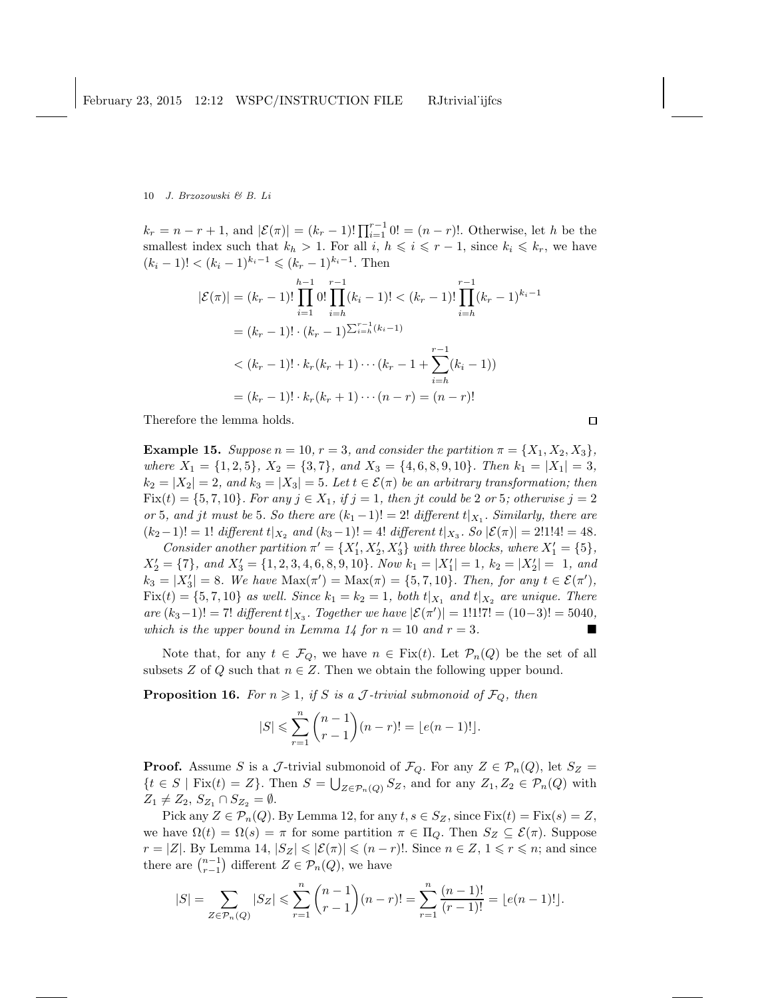$k_r = n - r + 1$ , and  $|\mathcal{E}(\pi)| = (k_r - 1)! \prod_{i=1}^{r-1} 0! = (n - r)!$ . Otherwise, let h be the smallest index such that  $k_h > 1$ . For all  $i, h \leq i \leq r-1$ , since  $k_i \leq k_r$ , we have  $(k_i - 1)! < (k_i - 1)^{k_i - 1} \leq (k_r - 1)^{k_i - 1}$ . Then

$$
|\mathcal{E}(\pi)| = (k_r - 1)! \prod_{i=1}^{h-1} 0! \prod_{i=h}^{r-1} (k_i - 1)! < (k_r - 1)! \prod_{i=h}^{r-1} (k_r - 1)^{k_i - 1}
$$
  

$$
= (k_r - 1)! \cdot (k_r - 1)^{\sum_{i=h}^{r-1} (k_i - 1)}
$$
  

$$
< (k_r - 1)! \cdot k_r (k_r + 1) \cdots (k_r - 1 + \sum_{i=h}^{r-1} (k_i - 1))
$$
  

$$
= (k_r - 1)! \cdot k_r (k_r + 1) \cdots (n - r) = (n - r)!
$$

Therefore the lemma holds.

**Example 15.** Suppose  $n = 10$ ,  $r = 3$ , and consider the partition  $\pi = \{X_1, X_2, X_3\}$ , where  $X_1 = \{1, 2, 5\}, X_2 = \{3, 7\}, \text{ and } X_3 = \{4, 6, 8, 9, 10\}. \text{ Then } k_1 = |X_1| = 3,$  $k_2 = |X_2| = 2$ , and  $k_3 = |X_3| = 5$ . Let  $t \in \mathcal{E}(\pi)$  be an arbitrary transformation; then  $Fix(t) = \{5, 7, 10\}$ . For any  $j \in X_1$ , if  $j = 1$ , then jt could be 2 or 5; otherwise  $j = 2$ or 5, and jt must be 5. So there are  $(k_1 - 1)! = 2!$  different  $t|_{X_1}$ . Similarly, there are  $(k_2-1)! = 1! \text{ different } t|_{X_2} \text{ and } (k_3-1)! = 4! \text{ different } t|_{X_3}.$  So  $|\mathcal{E}(\pi)| = 2!1!4! = 48.$ 

Consider another partition  $\pi' = \{X'_1, X'_2, X'_3\}$  with three blocks, where  $X'_1 = \{5\}$ ,  $X'_2 = \{7\}$ , and  $X'_3 = \{1, 2, 3, 4, 6, 8, 9, 10\}$ . Now  $k_1 = |X'_1| = 1$ ,  $k_2 = |X'_2| = 1$ , and  $k_3 = |X'_3| = 8$ . We have  $\text{Max}(\pi') = \text{Max}(\pi) = \{5, 7, 10\}$ . Then, for any  $t \in \mathcal{E}(\pi')$ ,  $Fix(t) = \{5, 7, 10\}$  as well. Since  $k_1 = k_2 = 1$ , both  $t|_{X_1}$  and  $t|_{X_2}$  are unique. There are  $(k_3-1)!$  = 7! different  $t|_{X_3}$ . Together we have  $|\mathcal{E}(\pi')|=1!1!7! = (10-3)! = 5040$ , which is the upper bound in Lemma 14 for  $n = 10$  and  $r = 3$ .

Note that, for any  $t \in \mathcal{F}_Q$ , we have  $n \in \text{Fix}(t)$ . Let  $\mathcal{P}_n(Q)$  be the set of all subsets Z of Q such that  $n \in \mathbb{Z}$ . Then we obtain the following upper bound.

**Proposition 16.** For  $n \geq 1$ , if S is a J-trivial submonoid of  $\mathcal{F}_Q$ , then

$$
|S| \leqslant \sum_{r=1}^{n} {n-1 \choose r-1} (n-r)! = \lfloor e(n-1)! \rfloor.
$$

**Proof.** Assume S is a J-trivial submonoid of  $\mathcal{F}_Q$ . For any  $Z \in \mathcal{P}_n(Q)$ , let  $S_Z =$  $\{t \in S \mid \text{Fix}(t) = Z\}$ . Then  $S = \bigcup_{Z \in \mathcal{P}_n(Q)} S_Z$ , and for any  $Z_1, Z_2 \in \mathcal{P}_n(Q)$  with  $Z_1 \neq Z_2$ ,  $S_{Z_1} \cap S_{Z_2} = \emptyset$ .

Pick any  $Z \in \mathcal{P}_n(Q)$ . By Lemma 12, for any  $t, s \in S_Z$ , since  $Fix(t) = Fix(s) = Z$ , we have  $\Omega(t) = \Omega(s) = \pi$  for some partition  $\pi \in \Pi_{\mathcal{O}}$ . Then  $S_Z \subseteq \mathcal{E}(\pi)$ . Suppose  $r = |Z|$ . By Lemma 14,  $|S_Z| \leq |\mathcal{E}(\pi)| \leq (n-r)!$ . Since  $n \in \mathbb{Z}$ ,  $1 \leq r \leq n$ ; and since there are  $\binom{n-1}{r-1}$  different  $Z \in \mathcal{P}_n(Q)$ , we have

$$
|S| = \sum_{Z \in \mathcal{P}_n(Q)} |S_Z| \leq \sum_{r=1}^n {n-1 \choose r-1} (n-r)! = \sum_{r=1}^n \frac{(n-1)!}{(r-1)!} = \lfloor e(n-1)! \rfloor.
$$

 $\Box$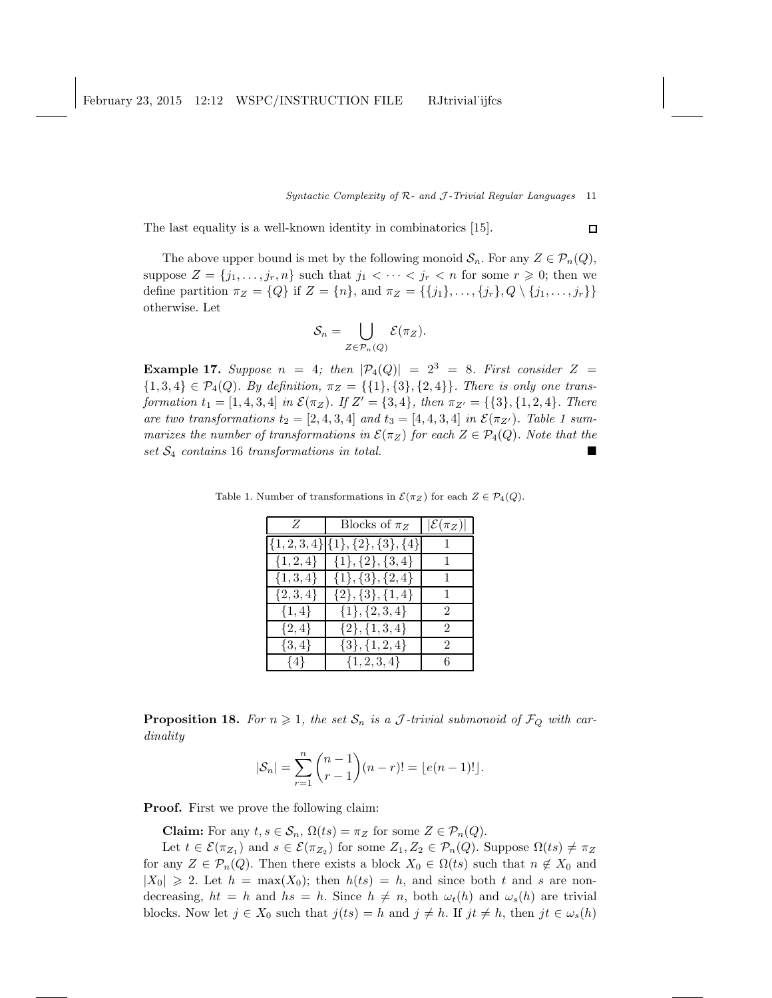#### Syntactic Complexity of  $R$ - and  $J$ -Trivial Regular Languages 11

 $\Box$ 

The last equality is a well-known identity in combinatorics [15].

The above upper bound is met by the following monoid  $S_n$ . For any  $Z \in \mathcal{P}_n(Q)$ , suppose  $Z = \{j_1, \ldots, j_r, n\}$  such that  $j_1 < \cdots < j_r < n$  for some  $r \geq 0$ ; then we define partition  $\pi_Z = \{Q\}$  if  $Z = \{n\}$ , and  $\pi_Z = \{\{j_1\}, \ldots, \{j_r\}, Q \setminus \{j_1, \ldots, j_r\}\}\$ otherwise. Let

$$
\mathcal{S}_n = \bigcup_{Z \in \mathcal{P}_n(Q)} \mathcal{E}(\pi_Z).
$$

**Example 17.** Suppose  $n = 4$ ; then  $|\mathcal{P}_4(Q)| = 2^3 = 8$ . First consider  $Z =$  ${1, 3, 4} \in \mathcal{P}_4(Q)$ . By definition,  $\pi_Z = {\{1\}, {3\}, {2, 4\}}$ . There is only one transformation  $t_1 = [1, 4, 3, 4]$  in  $\mathcal{E}(\pi_Z)$ . If  $Z' = \{3, 4\}$ , then  $\pi_{Z'} = \{\{3\}, \{1, 2, 4\}$ . There are two transformations  $t_2 = [2, 4, 3, 4]$  and  $t_3 = [4, 4, 3, 4]$  in  $\mathcal{E}(\pi_{Z'})$ . Table 1 summarizes the number of transformations in  $\mathcal{E}(\pi_Z)$  for each  $Z \in \mathcal{P}_4(Q)$ . Note that the  $set$   $S_4$  contains 16 transformations in total.

| Z             | Blocks of $\pi_Z$                       | $ \mathcal{E}(\pi_Z) $ |
|---------------|-----------------------------------------|------------------------|
|               | $\{1,2,3,4\}$ $\{1\},\{2\},\{3\},\{4\}$ |                        |
| $\{1, 2, 4\}$ | $\{1\}, \{2\}, \{3,4\}$                 | $\mathbf{1}$           |
| $\{1, 3, 4\}$ | $\{1\}, \{3\}, \{2,4\}$                 | $\mathbf{1}$           |
| $\{2,3,4\}$   | $\{2\}, \{3\}, \{1,4\}$                 | $\mathbf{1}$           |
| $\{1,4\}$     | $\{1\}, \{2,3,4\}$                      | $\mathfrak{D}$         |
| $\{2,4\}$     | $\{2\}, \{1,3,4\}$                      | $\mathfrak{D}$         |
| $\{3,4\}$     | $\{3\}, \{1,2,4\}$                      | $\mathfrak{D}$         |
| $\{4\}$       | $\{1, 2, 3, 4\}$                        | 6                      |

Table 1. Number of transformations in  $\mathcal{E}(\pi_Z)$  for each  $Z \in \mathcal{P}_4(Q)$ .

**Proposition 18.** For  $n \geq 1$ , the set  $S_n$  is a J-trivial submonoid of  $\mathcal{F}_Q$  with cardinality

$$
|\mathcal{S}_n| = \sum_{r=1}^n {n-1 \choose r-1} (n-r)! = \lfloor e(n-1)! \rfloor.
$$

**Proof.** First we prove the following claim:

**Claim:** For any  $t, s \in \mathcal{S}_n$ ,  $\Omega(ts) = \pi_Z$  for some  $Z \in \mathcal{P}_n(Q)$ .

Let  $t \in \mathcal{E}(\pi_{Z_1})$  and  $s \in \mathcal{E}(\pi_{Z_2})$  for some  $Z_1, Z_2 \in \mathcal{P}_n(Q)$ . Suppose  $\Omega(ts) \neq \pi_Z$ for any  $Z \in \mathcal{P}_n(Q)$ . Then there exists a block  $X_0 \in \Omega(ts)$  such that  $n \notin X_0$  and  $|X_0| \geq 2$ . Let  $h = \max(X_0)$ ; then  $h(ts) = h$ , and since both t and s are nondecreasing,  $ht = h$  and  $hs = h$ . Since  $h \neq n$ , both  $\omega_t(h)$  and  $\omega_s(h)$  are trivial blocks. Now let  $j \in X_0$  such that  $j(ts) = h$  and  $j \neq h$ . If  $jt \neq h$ , then  $jt \in \omega_s(h)$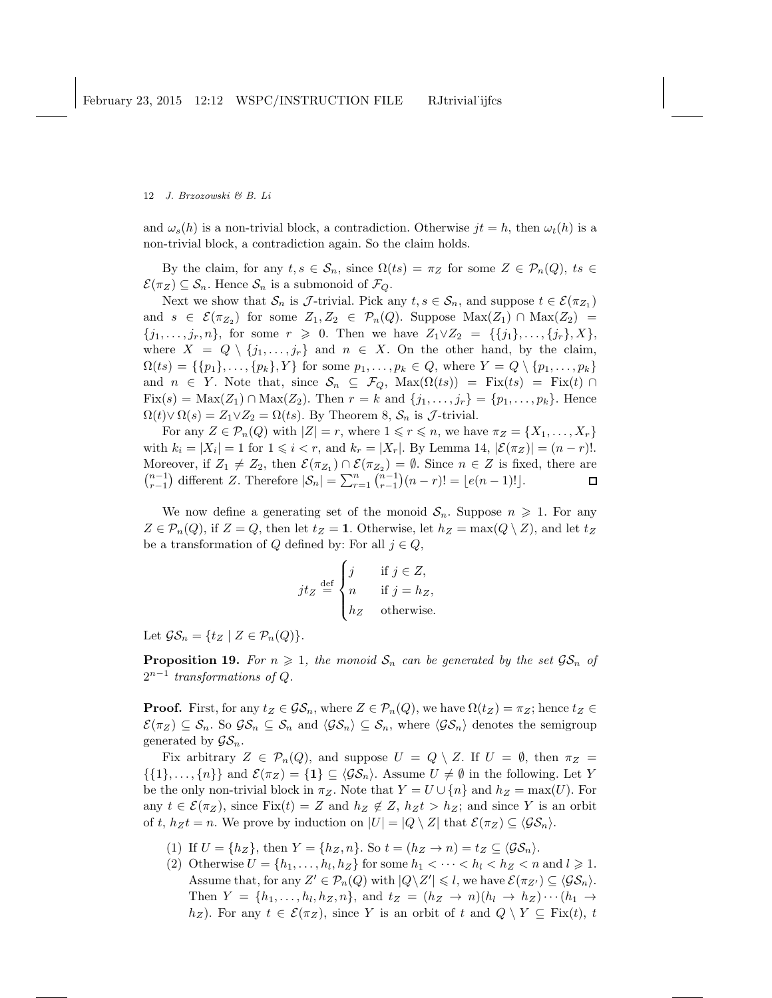and  $\omega_s(h)$  is a non-trivial block, a contradiction. Otherwise  $jt = h$ , then  $\omega_t(h)$  is a non-trivial block, a contradiction again. So the claim holds.

By the claim, for any  $t, s \in \mathcal{S}_n$ , since  $\Omega(ts) = \pi_Z$  for some  $Z \in \mathcal{P}_n(Q)$ ,  $ts \in$  $\mathcal{E}(\pi_Z) \subseteq \mathcal{S}_n$ . Hence  $\mathcal{S}_n$  is a submonoid of  $\mathcal{F}_Q$ .

Next we show that  $S_n$  is  $\mathcal{J}$ -trivial. Pick any  $t, s \in S_n$ , and suppose  $t \in \mathcal{E}(\pi_{Z_1})$ and  $s \in \mathcal{E}(\pi_{Z_2})$  for some  $Z_1, Z_2 \in \mathcal{P}_n(Q)$ . Suppose  $\text{Max}(Z_1) \cap \text{Max}(Z_2) =$  ${j_1, \ldots, j_r, n}$ , for some  $r \geq 0$ . Then we have  $Z_1 \vee Z_2 = \{\{j_1\}, \ldots, \{j_r\}, X\}$ , where  $X = Q \setminus \{j_1, \ldots, j_r\}$  and  $n \in X$ . On the other hand, by the claim,  $\Omega(ts) = \{\{p_1\}, \ldots, \{p_k\}, Y\}$  for some  $p_1, \ldots, p_k \in Q$ , where  $Y = Q \setminus \{p_1, \ldots, p_k\}$ and  $n \in Y$ . Note that, since  $S_n \subseteq \mathcal{F}_Q$ ,  $\text{Max}(\Omega(ts)) = \text{Fix}(ts) = \text{Fix}(t) \cap$ Fix(s) = Max(Z<sub>1</sub>) ∩ Max(Z<sub>2</sub>). Then  $r = k$  and  $\{j_1, ..., j_r\} = \{p_1, ..., p_k\}$ . Hence  $\Omega(t) \vee \Omega(s) = Z_1 \vee Z_2 = \Omega(ts)$ . By Theorem 8,  $S_n$  is  $\mathcal{J}$ -trivial.

For any  $Z \in \mathcal{P}_n(Q)$  with  $|Z| = r$ , where  $1 \leq r \leq n$ , we have  $\pi_Z = \{X_1, \ldots, X_r\}$ with  $k_i = |X_i| = 1$  for  $1 \leq i < r$ , and  $k_r = |X_r|$ . By Lemma 14,  $|\mathcal{E}(\pi_Z)| = (n - r)!$ . Moreover, if  $Z_1 \neq Z_2$ , then  $\mathcal{E}(\pi_{Z_1}) \cap \mathcal{E}(\pi_{Z_2}) = \emptyset$ . Since  $n \in Z$  is fixed, there are  $\binom{n-1}{r-1}$  different Z. Therefore  $|S_n| = \sum_{r=1}^n \binom{n-1}{r-1} (n-r)! = \lfloor e(n-1)! \rfloor$ . 口

We now define a generating set of the monoid  $S_n$ . Suppose  $n \geq 1$ . For any  $Z \in \mathcal{P}_n(Q)$ , if  $Z = Q$ , then let  $t_Z = 1$ . Otherwise, let  $h_Z = \max(Q \setminus Z)$ , and let  $t_Z$ be a transformation of Q defined by: For all  $j \in Q$ ,

$$
jtz \stackrel{\text{def}}{=} \begin{cases} j & \text{if } j \in Z, \\ n & \text{if } j = h_Z, \\ h_Z & \text{otherwise.} \end{cases}
$$

Let  $\mathcal{GS}_n = \{t_Z \mid Z \in \mathcal{P}_n(Q)\}.$ 

**Proposition 19.** For  $n \geq 1$ , the monoid  $S_n$  can be generated by the set  $\mathcal{GS}_n$  of  $2^{n-1}$  transformations of Q.

**Proof.** First, for any  $t_Z \in \mathcal{GS}_n$ , where  $Z \in \mathcal{P}_n(Q)$ , we have  $\Omega(t_Z) = \pi_Z$ ; hence  $t_Z \in$  $\mathcal{E}(\pi_Z) \subseteq \mathcal{S}_n$ . So  $\mathcal{GS}_n \subseteq \mathcal{S}_n$  and  $\langle \mathcal{GS}_n \rangle \subseteq \mathcal{S}_n$ , where  $\langle \mathcal{GS}_n \rangle$  denotes the semigroup generated by  $\mathcal{GS}_n$ .

Fix arbitrary  $Z \in \mathcal{P}_n(Q)$ , and suppose  $U = Q \setminus Z$ . If  $U = \emptyset$ , then  $\pi_Z =$  $\{\{1\},\ldots,\{n\}\}\$ and  $\mathcal{E}(\pi_Z)=\{\mathbf{1}\}\subseteq \langle\mathcal{GS}_n\rangle$ . Assume  $U\neq\emptyset$  in the following. Let Y be the only non-trivial block in  $\pi_Z$ . Note that  $Y = U \cup \{n\}$  and  $h_Z = \max(U)$ . For any  $t \in \mathcal{E}(\pi_Z)$ , since Fix $(t) = Z$  and  $h_Z \notin Z$ ,  $h_Z t > h_Z$ ; and since Y is an orbit of t,  $h_Zt = n$ . We prove by induction on  $|U| = |Q \setminus Z|$  that  $\mathcal{E}(\pi_Z) \subseteq \langle \mathcal{GS}_n \rangle$ .

- (1) If  $U = \{h_Z\}$ , then  $Y = \{h_Z, n\}$ . So  $t = (h_Z \rightarrow n) = t_Z \subseteq \langle \mathcal{GS}_n \rangle$ .
- (2) Otherwise  $U = \{h_1, \ldots, h_l, h_Z\}$  for some  $h_1 < \cdots < h_l < h_Z < n$  and  $l \geq 1$ . Assume that, for any  $Z' \in \mathcal{P}_n(Q)$  with  $|Q \backslash Z'| \leq l$ , we have  $\mathcal{E}(\pi_{Z'}) \subseteq \langle \mathcal{GS}_n \rangle$ . Then  $Y = \{h_1, \ldots, h_l, h_Z, n\}$ , and  $t_Z = (h_Z \rightarrow n)(h_l \rightarrow h_Z) \cdots (h_1 \rightarrow h_l)$  $h_Z$ ). For any  $t \in \mathcal{E}(\pi_Z)$ , since Y is an orbit of t and  $Q \setminus Y \subseteq \text{Fix}(t), t$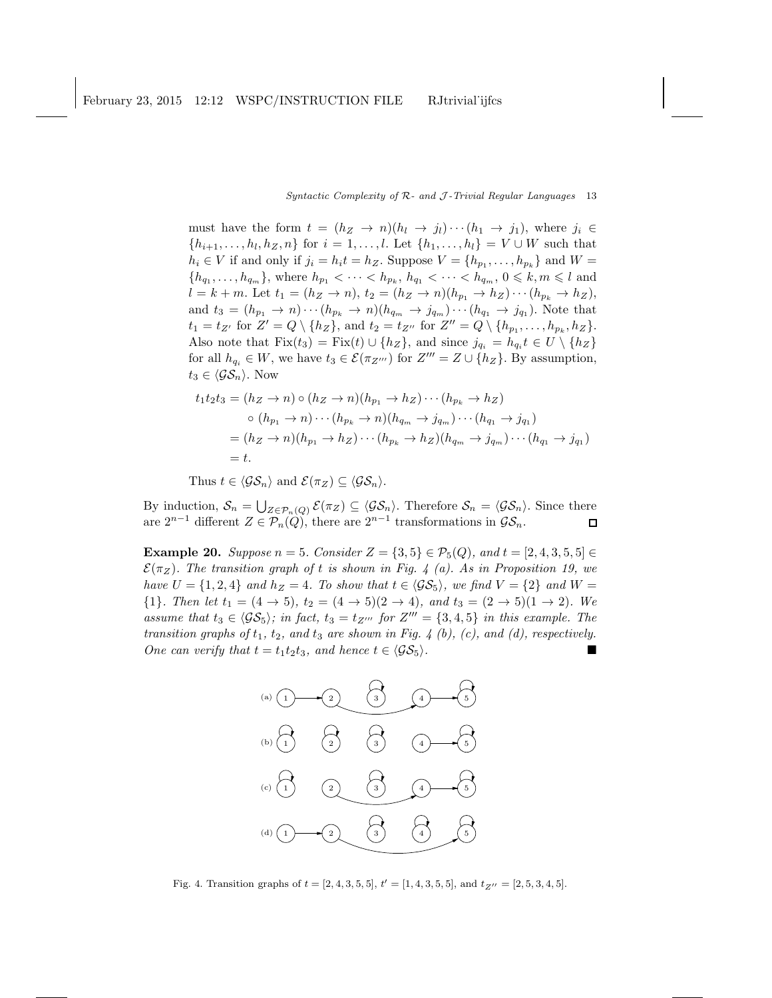## Syntactic Complexity of  $R$ - and  $J$ -Trivial Regular Languages 13

must have the form  $t = (h_Z \rightarrow n)(h_l \rightarrow j_l) \cdots (h_1 \rightarrow j_1)$ , where  $j_i \in$  ${h_{i+1}, \ldots, h_l, h_Z, n}$  for  $i = 1, \ldots, l$ . Let  ${h_1, \ldots, h_l} = V \cup W$  such that  $h_i \in V$  if and only if  $j_i = h_i t = h_Z$ . Suppose  $V = \{h_{p_1}, \ldots, h_{p_k}\}\$  and  $W =$  ${h_{q_1}, \ldots, h_{q_m}}$ , where  $h_{p_1} < \cdots < h_{p_k}, h_{q_1} < \cdots < h_{q_m}, 0 \leq k, m \leq l$  and  $l = k + m$ . Let  $t_1 = (h_Z \rightarrow n), t_2 = (h_Z \rightarrow n)(h_{p_1} \rightarrow h_Z) \cdots (h_{p_k} \rightarrow h_Z),$ and  $t_3 = (h_{p_1} \to n) \cdots (h_{p_k} \to n) (h_{q_m} \to j_{q_m}) \cdots (h_{q_1} \to j_{q_1})$ . Note that  $t_1 = t_{Z'}$  for  $Z' = Q \setminus \{h_Z\}$ , and  $t_2 = t_{Z''}$  for  $Z'' = Q \setminus \{h_{p_1}, \ldots, h_{p_k}, h_Z\}$ . Also note that  $Fix(t_3) = Fix(t) \cup \{h_Z\}$ , and since  $j_{q_i} = h_{q_i} t \in U \setminus \{h_Z\}$ for all  $h_{q_i} \in W$ , we have  $t_3 \in \mathcal{E}(\pi_{Z''})$  for  $Z''' = Z \cup \{h_Z\}$ . By assumption,  $t_3 \in \langle \mathcal{GS}_n \rangle$ . Now

$$
t_1t_2t_3 = (h_Z \to n) \circ (h_Z \to n)(h_{p_1} \to h_Z) \cdots (h_{p_k} \to h_Z)
$$
  
\n
$$
\circ (h_{p_1} \to n) \cdots (h_{p_k} \to n)(h_{q_m} \to j_{q_m}) \cdots (h_{q_1} \to j_{q_1})
$$
  
\n
$$
= (h_Z \to n)(h_{p_1} \to h_Z) \cdots (h_{p_k} \to h_Z)(h_{q_m} \to j_{q_m}) \cdots (h_{q_1} \to j_{q_1})
$$
  
\n
$$
= t.
$$

Thus  $t \in \langle \mathcal{GS}_n \rangle$  and  $\mathcal{E}(\pi_Z) \subseteq \langle \mathcal{GS}_n \rangle$ .

By induction,  $S_n = \bigcup_{Z \in \mathcal{P}_n(Q)} \mathcal{E}(\pi_Z) \subseteq \langle \mathcal{GS}_n \rangle$ . Therefore  $\mathcal{S}_n = \langle \mathcal{GS}_n \rangle$ . Since there are  $2^{n-1}$  different  $Z \in \mathcal{P}_n(Q)$ , there are  $2^{n-1}$  transformations in  $\mathcal{GS}_n$ .  $\Box$ 

**Example 20.** Suppose  $n = 5$ . Consider  $Z = \{3, 5\} \in \mathcal{P}_5(Q)$ , and  $t = [2, 4, 3, 5, 5] \in$  $\mathcal{E}(\pi_Z)$ . The transition graph of t is shown in Fig. 4 (a). As in Proposition 19, we have  $U = \{1, 2, 4\}$  and  $h_Z = 4$ . To show that  $t \in \langle \mathcal{GS}_5 \rangle$ , we find  $V = \{2\}$  and  $W =$  ${1}.$  Then let  $t_1 = (4 \rightarrow 5), t_2 = (4 \rightarrow 5)(2 \rightarrow 4),$  and  $t_3 = (2 \rightarrow 5)(1 \rightarrow 2).$  We assume that  $t_3 \in \langle \mathcal{GS}_5 \rangle$ ; in fact,  $t_3 = t_{Z'''}$  for  $Z''' = \{3, 4, 5\}$  in this example. The transition graphs of  $t_1$ ,  $t_2$ , and  $t_3$  are shown in Fig. 4 (b), (c), and (d), respectively. One can verify that  $t = t_1t_2t_3$ , and hence  $t \in \langle \mathcal{GS}_5 \rangle$ .



Fig. 4. Transition graphs of  $t = [2, 4, 3, 5, 5], t' = [1, 4, 3, 5, 5],$  and  $t_{Z''} = [2, 5, 3, 4, 5].$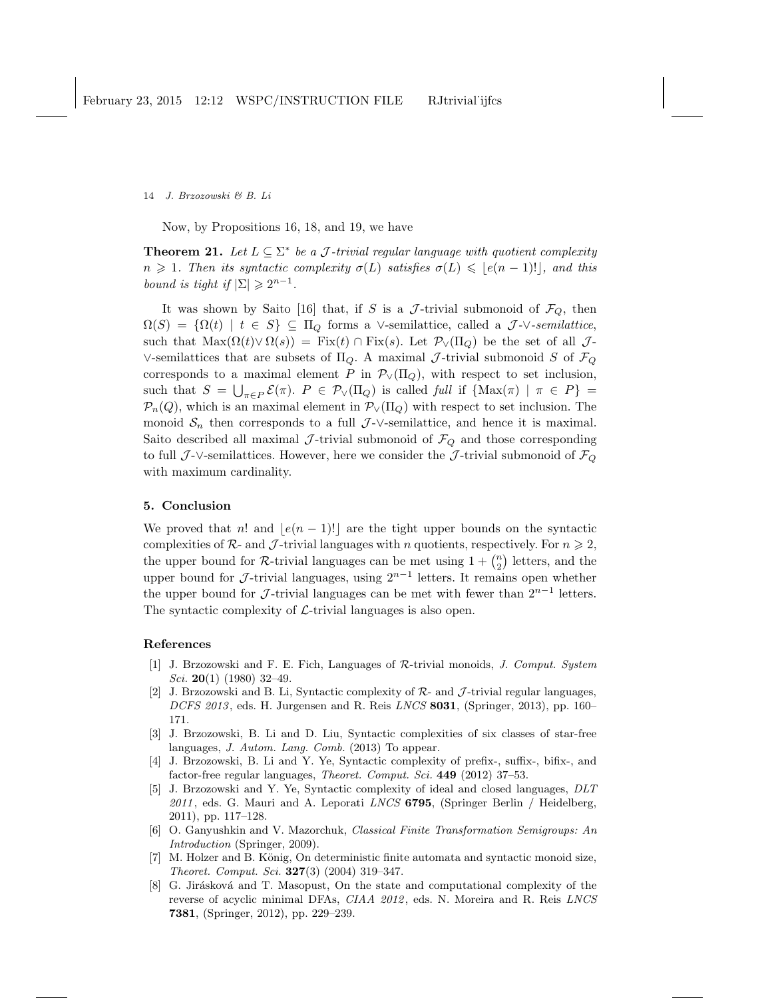Now, by Propositions 16, 18, and 19, we have

**Theorem 21.** Let  $L \subseteq \Sigma^*$  be a J-trivial regular language with quotient complexity  $n \geq 1$ . Then its syntactic complexity  $\sigma(L)$  satisfies  $\sigma(L) \leqslant |e(n-1)!|$ , and this bound is tight if  $|\Sigma| \geq 2^{n-1}$ .

It was shown by Saito [16] that, if S is a J-trivial submonoid of  $\mathcal{F}_Q$ , then  $\Omega(S) = {\Omega(t) | t \in S} \subseteq \Pi_Q$  forms a ∨-semilattice, called a J- $\vee$ -semilattice, such that  $\text{Max}(\Omega(t) \vee \Omega(s)) = \text{Fix}(t) \cap \text{Fix}(s)$ . Let  $\mathcal{P}_{\vee}(\Pi_{\Omega})$  be the set of all  $\mathcal{J}$ -∨-semilattices that are subsets of  $\Pi_Q$ . A maximal *J*-trivial submonoid *S* of  $\mathcal{F}_Q$ corresponds to a maximal element P in  $\mathcal{P}_{\vee}(\Pi_Q)$ , with respect to set inclusion, such that  $S = \bigcup_{\pi \in P} \mathcal{E}(\pi)$ .  $P \in \mathcal{P}_{\vee}(\Pi_Q)$  is called full if  $\{\text{Max}(\pi) \mid \pi \in P\}$  $\mathcal{P}_n(Q)$ , which is an maximal element in  $\mathcal{P}_{\vee}(\Pi_Q)$  with respect to set inclusion. The monoid  $S_n$  then corresponds to a full  $\mathcal{J}\text{-}\vee\text{-semilattice}$ , and hence it is maximal. Saito described all maximal  $\mathcal{J}$ -trivial submonoid of  $\mathcal{F}_{Q}$  and those corresponding to full J-∨-semilattices. However, here we consider the J-trivial submonoid of  $\mathcal{F}_Q$ with maximum cardinality.

## 5. Conclusion

We proved that n! and  $|e(n-1)!|$  are the tight upper bounds on the syntactic complexities of  $\mathcal{R}_2$ - and  $\mathcal{J}_2$ -trivial languages with n quotients, respectively. For  $n \geq 2$ , the upper bound for R-trivial languages can be met using  $1 + \binom{n}{2}$  letters, and the upper bound for  $\mathcal{J}$ -trivial languages, using  $2^{n-1}$  letters. It remains open whether the upper bound for  $\mathcal{J}$ -trivial languages can be met with fewer than  $2^{n-1}$  letters. The syntactic complexity of  $\mathcal{L}\text{-trivial languages}$  is also open.

#### References

- [1] J. Brzozowski and F. E. Fich, Languages of R-trivial monoids, *J. Comput. System Sci.* 20(1) (1980) 32–49.
- [2] J. Brzozowski and B. Li, Syntactic complexity of  $\mathcal{R}$  and  $\mathcal{J}$ -trivial regular languages, *DCFS 2013* , eds. H. Jurgensen and R. Reis *LNCS* 8031, (Springer, 2013), pp. 160– 171.
- [3] J. Brzozowski, B. Li and D. Liu, Syntactic complexities of six classes of star-free languages, *J. Autom. Lang. Comb.* (2013) To appear.
- [4] J. Brzozowski, B. Li and Y. Ye, Syntactic complexity of prefix-, suffix-, bifix-, and factor-free regular languages, *Theoret. Comput. Sci.* 449 (2012) 37–53.
- [5] J. Brzozowski and Y. Ye, Syntactic complexity of ideal and closed languages, *DLT 2011* , eds. G. Mauri and A. Leporati *LNCS* 6795, (Springer Berlin / Heidelberg, 2011), pp. 117–128.
- [6] O. Ganyushkin and V. Mazorchuk, *Classical Finite Transformation Semigroups: An Introduction* (Springer, 2009).
- [7] M. Holzer and B. König, On deterministic finite automata and syntactic monoid size, *Theoret. Comput. Sci.* 327(3) (2004) 319–347.
- [8] G. Jirásková and T. Masopust, On the state and computational complexity of the reverse of acyclic minimal DFAs, *CIAA 2012* , eds. N. Moreira and R. Reis *LNCS* 7381, (Springer, 2012), pp. 229–239.